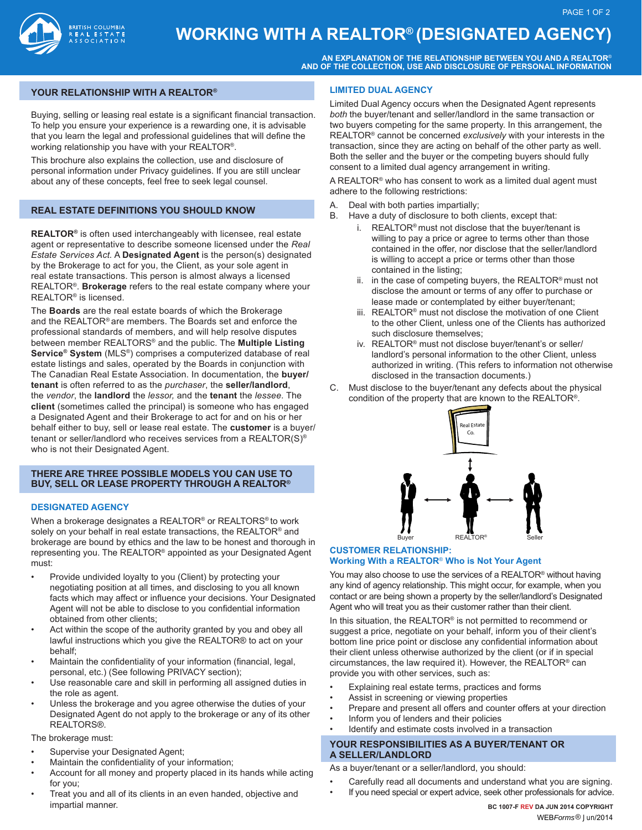

# **WORKING WITH A REALTOR® (DESIGNATED AGENCY)**

**AN EXPLANATION OF THE RELATIONSHIP BETWEEN YOU AND A REALTOR**® **AND OF THE COLLECTION, USE AND DISCLOSURE OF PERSONAL INFORMATION**

# **YOUR RELATIONSHIP WITH A REALTOR®**

Buying, selling or leasing real estate is a significant financial transaction. To help you ensure your experience is a rewarding one, it is advisable that you learn the legal and professional guidelines that will define the working relationship you have with your REALTOR®.

This brochure also explains the collection, use and disclosure of personal information under Privacy guidelines. If you are still unclear about any of these concepts, feel free to seek legal counsel.

# **REAL ESTATE DEFINITIONS YOU SHOULD KNOW**

**REALTOR®** is often used interchangeably with licensee, real estate agent or representative to describe someone licensed under the *Real Estate Services Act.* A **Designated Agent** is the person(s) designated by the Brokerage to act for you, the Client, as your sole agent in real estate transactions. This person is almost always a licensed REALTOR®. **Brokerage** refers to the real estate company where your REALTOR® is licensed.

The **Boards** are the real estate boards of which the Brokerage and the REALTOR® are members. The Boards set and enforce the professional standards of members, and will help resolve disputes between member REALTORS® and the public. The **Multiple Listing Service® System** (MLS®) comprises a computerized database of real estate listings and sales, operated by the Boards in conjunction with The Canadian Real Estate Association. In documentation, the **buyer/ tenant** is often referred to as the *purchaser*, the **seller/landlord**, the *vendor*, the **landlord** the *lessor,* and the **tenant** the *lessee*. The **client** (sometimes called the principal) is someone who has engaged a Designated Agent and their Brokerage to act for and on his or her behalf either to buy, sell or lease real estate. The **customer** is a buyer/ tenant or seller/landlord who receives services from a REALTOR(S)® who is not their Designated Agent.

## **THERE ARE THREE POSSIBLE MODELS YOU CAN USE TO BUY, SELL OR LEASE PROPERTY THROUGH A REALTOR®**

#### **DESIGNATED AGENCY**

When a brokerage designates a REALTOR® or REALTORS® to work solely on your behalf in real estate transactions, the REALTOR® and brokerage are bound by ethics and the law to be honest and thorough in representing you. The REALTOR® appointed as your Designated Agent must:

- Provide undivided loyalty to you (Client) by protecting your negotiating position at all times, and disclosing to you all known facts which may affect or influence your decisions. Your Designated Agent will not be able to disclose to you confidential information obtained from other clients;
- Act within the scope of the authority granted by you and obey all lawful instructions which you give the REALTOR® to act on your behalf;
- Maintain the confidentiality of your information (financial, legal, personal, etc.) (See following PRIVACY section);
- Use reasonable care and skill in performing all assigned duties in the role as agent.
- Unless the brokerage and you agree otherwise the duties of your Designated Agent do not apply to the brokerage or any of its other REALTORS®.

# The brokerage must:

- Supervise your Designated Agent;
- Maintain the confidentiality of your information;
- Account for all money and property placed in its hands while acting for you;
- Treat you and all of its clients in an even handed, objective and impartial manner.

#### **LIMITED DUAL AGENCY**

Limited Dual Agency occurs when the Designated Agent represents *both* the buyer/tenant and seller/landlord in the same transaction or two buyers competing for the same property. In this arrangement, the REALTOR® cannot be concerned *exclusively* with your interests in the transaction, since they are acting on behalf of the other party as well. Both the seller and the buyer or the competing buyers should fully consent to a limited dual agency arrangement in writing.

A REALTOR® who has consent to work as a limited dual agent must adhere to the following restrictions:

- A. Deal with both parties impartially;
- B. Have a duty of disclosure to both clients, except that:
	- i. REALTOR® must not disclose that the buyer/tenant is willing to pay a price or agree to terms other than those contained in the offer, nor disclose that the seller/landlord is willing to accept a price or terms other than those contained in the listing;
	- ii. in the case of competing buyers, the REALTOR® must not disclose the amount or terms of any offer to purchase or lease made or contemplated by either buyer/tenant;
	- iii. REALTOR® must not disclose the motivation of one Client to the other Client, unless one of the Clients has authorized such disclosure themselves;
	- iv. REALTOR® must not disclose buyer/tenant's or seller/ landlord's personal information to the other Client, unless authorized in writing. (This refers to information not otherwise disclosed in the transaction documents.)
- C. Must disclose to the buyer/tenant any defects about the physical condition of the property that are known to the REALTOR®.



## **CUSTOMER RELATIONSHIP: Working With a REALTOR**® **Who is Not Your Agent**

You may also choose to use the services of a REALTOR® without having any kind of agency relationship. This might occur, for example, when you contact or are being shown a property by the seller/landlord's Designated Agent who will treat you as their customer rather than their client.

In this situation, the REALTOR® is not permitted to recommend or suggest a price, negotiate on your behalf, inform you of their client's bottom line price point or disclose any confidential information about their client unless otherwise authorized by the client (or if in special circumstances, the law required it). However, the REALTOR® can provide you with other services, such as:

- Explaining real estate terms, practices and forms
- Assist in screening or viewing properties
- Prepare and present all offers and counter offers at your direction
- Inform you of lenders and their policies
- Identify and estimate costs involved in a transaction

## **YOUR RESPONSIBILITIES AS A BUYER/TENANT OR A SELLER/LANDLORD**

As a buyer/tenant or a seller/landlord, you should:

- Carefully read all documents and understand what you are signing.
- If you need special or expert advice, seek other professionals for advice.